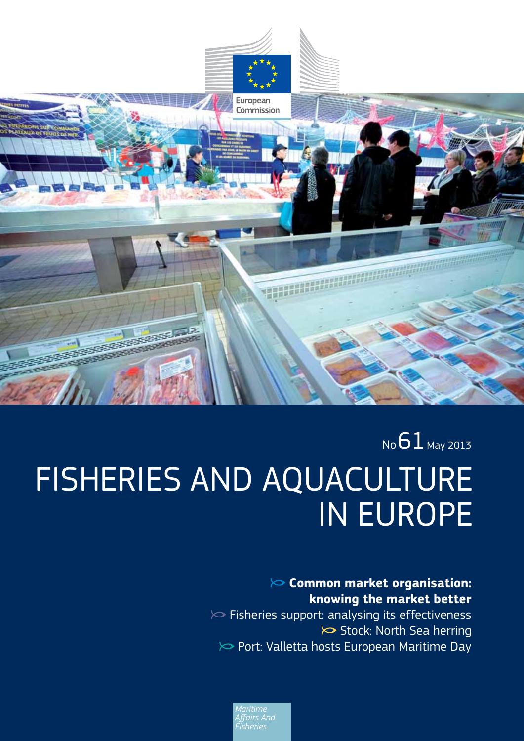

# $N<sub>0</sub>61$  May 2013 FISHERIES AND AQUACULTURE IN EUROPE

### **Common market organisation: knowing the market better**   $\triangleright$  Fisheries support: analysing its effectiveness

 $\triangleright$  Stock: North Sea herring  $\gg$  Port: Valletta hosts European Maritime Day

*Affairs And*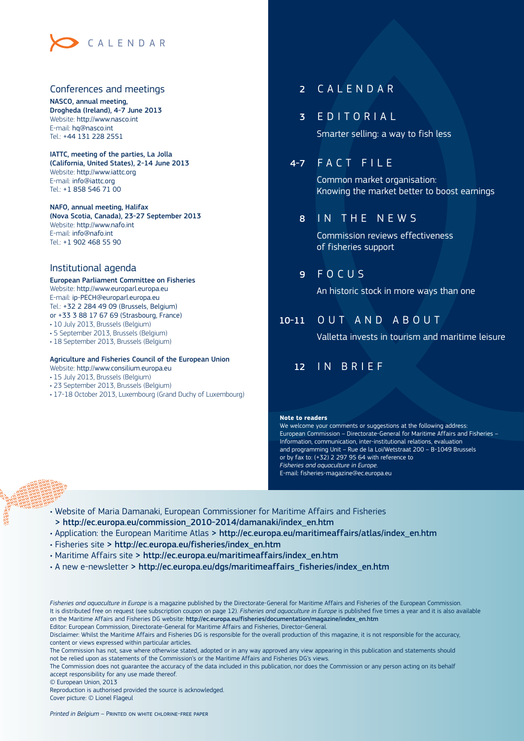

#### Conferences and meetings

NASCO, annual meeting, Drogheda (Ireland), 4-7 June 2013 Website:<http://www.nasco.int> E-mail: [hq@nasco.int](mailto:hq@nasco.int) Tel.: +44 131 228 2551

#### IATTC, meeting of the parties, La Jolla (California, United States), 2-14 June 2013 Website:<http://www.iattc.org> E-mail: [info@iattc.org](mailto:info@iattc.org) Tel.: +1 858 546 71 00

NAFO, annual meeting, Halifax (Nova Scotia, Canada), 23-27 September 2013 Website:<http://www.nafo.int> E-mail: [info@nafo.int](mailto:info@nafo.int) Tel.: +1 902 468 55 90

#### Institutional agenda

#### European Parliament Committee on Fisheries Website:<http://www.europarl.europa.eu>

E-mail: [ip-PECH@europarl.europa.eu](mailto:ip-PECH@europarl.europa.eu) Tel.: +32 2 284 49 09 (Brussels, Belgium) or +33 3 88 17 67 69 (Strasbourg, France)

- $\bm{\cdot}$  10 July 2013, Brussels (Belgium)
- 5 September 2013, Brussels (Belgium)
- $\cdot$  18 September 2013, Brussels (Belgium)

#### Agriculture and Fisheries Council of the European Union

- Website:<http://www.consilium.europa.eu>
- 15 July 2013, Brussels (Belgium)
- 23 September 2013, Brussels (Belgium)
- $\bm{\cdot}$  17-18 October 2013, Luxembourg (Grand Duchy of Luxembourg)

#### 2 CALENDAR

#### 3 EDITORIAL

Smarter selling: a way to fish less

#### 4-7 FACT FILE

Common market organisation: Knowing the market better to boost earnings

#### 8 IN THE NEWS

Commission reviews effectiveness of fisheries support

9 FOCUS

An historic stock in more ways than one

#### 10-11 OUT AND ABOUT

Valletta invests in tourism and maritime leisure

#### 12 IN BRIEF

#### **Note to readers**

We welcome your comments or suggestions at the following address: European Commission – Directorate-General for Maritime Affairs and Fisheries – Information, communication, inter-institutional relations, evaluation and programming Unit – Rue de la Loi/Wetstraat 200 – B-1049 Brussels or by fax to: (+32) 2 297 95 64 with reference to *Fisheries and aquaculture in Europe*. E-mail: [fisheries-magazine@ec.europa.eu](mailto:fisheries-magazine@ec.europa.eu)

- $\cdot$  Website of Maria Damanaki, European Commissioner for Maritime Affairs and Fisheries > [http://ec.europa.eu/commission\\_2010-2014/damanaki/index\\_en.htm](http://ec.europa.eu/commission_2010-2014/damanaki/index_en.htm)
- Application: the European Maritime Atlas > [http://ec.europa.eu/maritimeaffairs/atlas/index\\_en.htm](http://ec.europa.eu/maritimeaffairs/atlas/index_en.htm)
- · Fisheries site > http://ec.europa.eu/fisheries/index\_en.htm
- Maritime Affairs site > [http://ec.europa.eu/maritimeaffairs/index\\_en.htm](http://ec.europa.eu/maritimeaffairs/index_en.htm)
- $\cdot$  A new e-newsletter > [http://ec.europa.eu/dgs/maritimeaffairs\\_fisheries/index\\_en.htm](http://ec.europa.eu/dgs/maritimeaffairs_fisheries/index_en.htm)

*Fisheries and aquaculture in Europe* is a magazine published by the Directorate-General for Maritime Affairs and Fisheries of the European Commission. It is distributed free on request (see subscription coupon on page 12). *Fisheries and aquaculture in Europe* is published five times a year and it is also available on the Maritime Affairs and Fisheries DG website: [http://ec.europa.eu/fisheries/documentation/magazine/index\\_en.htm](http://ec.europa.eu/fisheries/documentation/magazine/index_en.htm) Editor: European Commission, Directorate-General for Maritime Affairs and Fisheries, Director-General.

Disclaimer: Whilst the Maritime Affairs and Fisheries DG is responsible for the overall production of this magazine, it is not responsible for the accuracy, content or views expressed within particular articles.

The Commission has not, save where otherwise stated, adopted or in any way approved any view appearing in this publication and statements should not be relied upon as statements of the Commission's or the Maritime Affairs and Fisheries DG's views.

The Commission does not guarantee the accuracy of the data included in this publication, nor does the Commission or any person acting on its behalf accept responsibility for any use made thereof.

© European Union, 2013

Reproduction is authorised provided the source is acknowledged Cover picture: © Lionel Flageul

*Printed in Belgium* – Printed on white chlorine-free paper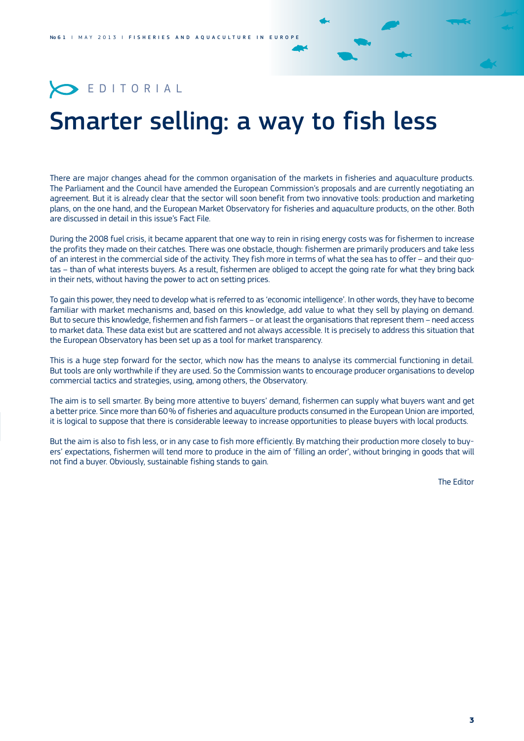### **EDITORIAL**

## Smarter selling: a way to fish less

There are major changes ahead for the common organisation of the markets in fisheries and aquaculture products. The Parliament and the Council have amended the European Commission's proposals and are currently negotiating an agreement. But it is already clear that the sector will soon benefit from two innovative tools: production and marketing plans, on the one hand, and the European Market Observatory for fisheries and aquaculture products, on the other. Both are discussed in detail in this issue's Fact File.

During the 2008 fuel crisis, it became apparent that one way to rein in rising energy costs was for fishermen to increase the profits they made on their catches. There was one obstacle, though: fishermen are primarily producers and take less of an interest in the commercial side of the activity. They fish more in terms of what the sea has to offer – and their quotas – than of what interests buyers. As a result, fishermen are obliged to accept the going rate for what they bring back in their nets, without having the power to act on setting prices.

To gain this power, they need to develop what is referred to as 'economic intelligence'. In other words, they have to become familiar with market mechanisms and, based on this knowledge, add value to what they sell by playing on demand. But to secure this knowledge, fishermen and fish farmers – or at least the organisations that represent them – need access to market data. These data exist but are scattered and not always accessible. It is precisely to address this situation that the European Observatory has been set up as a tool for market transparency.

This is a huge step forward for the sector, which now has the means to analyse its commercial functioning in detail. But tools are only worthwhile if they are used. So the Commission wants to encourage producer organisations to develop commercial tactics and strategies, using, among others, the Observatory.

The aim is to sell smarter. By being more attentive to buyers' demand, fishermen can supply what buyers want and get a better price. Since more than 60 % of fisheries and aquaculture products consumed in the European Union are imported, it is logical to suppose that there is considerable leeway to increase opportunities to please buyers with local products.

But the aim is also to fish less, or in any case to fish more efficiently. By matching their production more closely to buyers' expectations, fishermen will tend more to produce in the aim of 'filling an order', without bringing in goods that will not find a buyer. Obviously, sustainable fishing stands to gain.

The Editor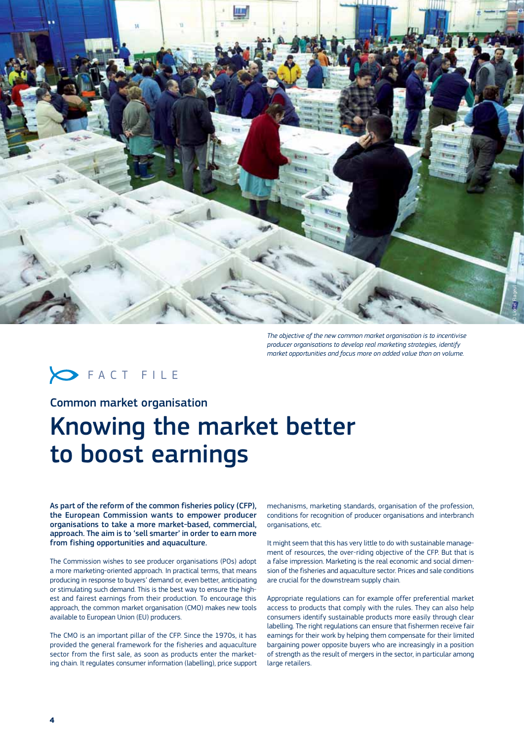

*The objective of the new common market organisation is to incentivise producer organisations to develop real marketing strategies, identify market opportunities and focus more on added value than on volume.*

### **SEACT FILE**

Common market organisation

## Knowing the market better to boost earnings

As part of the reform of the common fisheries policy (CFP), the European Commission wants to empower producer organisations to take a more market-based, commercial, approach. The aim is to 'sell smarter' in order to earn more from fishing opportunities and aquaculture.

The Commission wishes to see producer organisations (POs) adopt a more marketing-oriented approach. In practical terms, that means producing in response to buyers' demand or, even better, anticipating or stimulating such demand. This is the best way to ensure the highest and fairest earnings from their production. To encourage this approach, the common market organisation (CMO) makes new tools available to European Union (EU) producers.

The CMO is an important pillar of the CFP. Since the 1970s, it has provided the general framework for the fisheries and aquaculture sector from the first sale, as soon as products enter the marketing chain. It regulates consumer information (labelling), price support

mechanisms, marketing standards, organisation of the profession, conditions for recognition of producer organisations and interbranch organisations, etc.

It might seem that this has very little to do with sustainable management of resources, the over-riding objective of the CFP. But that is a false impression. Marketing is the real economic and social dimension of the fisheries and aquaculture sector. Prices and sale conditions are crucial for the downstream supply chain.

Appropriate regulations can for example offer preferential market access to products that comply with the rules. They can also help consumers identify sustainable products more easily through clear labelling. The right regulations can ensure that fishermen receive fair earnings for their work by helping them compensate for their limited bargaining power opposite buyers who are increasingly in a position of strength as the result of mergers in the sector, in particular among large retailers.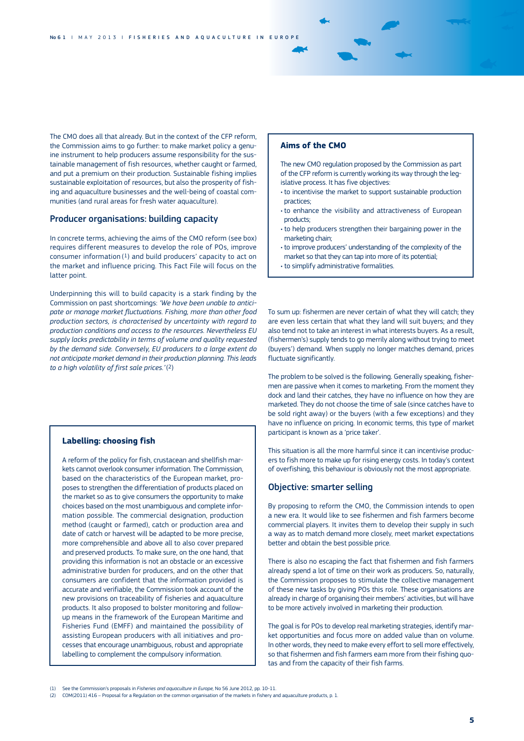The CMO does all that already. But in the context of the CFP reform, the Commission aims to go further: to make market policy a genuine instrument to help producers assume responsibility for the sustainable management of fish resources, whether caught or farmed, and put a premium on their production. Sustainable fishing implies sustainable exploitation of resources, but also the prosperity of fishing and aquaculture businesses and the well-being of coastal communities (and rural areas for fresh water aquaculture).

#### Producer organisations: building capacity

In concrete terms, achieving the aims of the CMO reform (see box) requires different measures to develop the role of POs, improve consumer information (1) and build producers' capacity to act on the market and influence pricing. This Fact File will focus on the latter point.

Underpinning this will to build capacity is a stark finding by the Commission on past shortcomings: *'We have been unable to anticipate or manage market fluctuations. Fishing, more than other food production sectors, is characterised by uncertainty with regard to production conditions and access to the resources. Nevertheless EU supply lacks predictability in terms of volume and quality requested by the demand side. Conversely, EU producers to a large extent do not anticipate market demand in their production planning. This leads to a high volatility of first sale prices.'* (2)

#### **Labelling: choosing fish**

A reform of the policy for fish, crustacean and shellfish markets cannot overlook consumer information. The Commission, based on the characteristics of the European market, proposes to strengthen the differentiation of products placed on the market so as to give consumers the opportunity to make choices based on the most unambiguous and complete information possible. The commercial designation, production method (caught or farmed), catch or production area and date of catch or harvest will be adapted to be more precise, more comprehensible and above all to also cover prepared and preserved products. To make sure, on the one hand, that providing this information is not an obstacle or an excessive administrative burden for producers, and on the other that consumers are confident that the information provided is accurate and verifiable, the Commission took account of the new provisions on traceability of fisheries and aquaculture products. It also proposed to bolster monitoring and followup means in the framework of the European Maritime and Fisheries Fund (EMFF) and maintained the possibility of assisting European producers with all initiatives and processes that encourage unambiguous, robust and appropriate labelling to complement the compulsory information.

#### **Aims of the CMO**

The new CMO regulation proposed by the Commission as part of the CFP reform is currently working its way through the legislative process. It has five objectives:

- $\cdot$  to incentivise the market to support sustainable production practices;
- $\cdot$  to enhance the visibility and attractiveness of European products;
- $\cdot$  to help producers strengthen their bargaining power in the marketing chain;
- to improve producers' understanding of the complexity of the market so that they can tap into more of its potential;
- to simplify administrative formalities.

To sum up: fishermen are never certain of what they will catch; they are even less certain that what they land will suit buyers; and they also tend not to take an interest in what interests buyers. As a result, (fishermen's) supply tends to go merrily along without trying to meet (buyers') demand. When supply no longer matches demand, prices fluctuate significantly.

The problem to be solved is the following. Generally speaking, fishermen are passive when it comes to marketing. From the moment they dock and land their catches, they have no influence on how they are marketed. They do not choose the time of sale (since catches have to be sold right away) or the buyers (with a few exceptions) and they have no influence on pricing. In economic terms, this type of market participant is known as a 'price taker'.

This situation is all the more harmful since it can incentivise producers to fish more to make up for rising energy costs. In today's context of overfishing, this behaviour is obviously not the most appropriate.

#### Objective: smarter selling

By proposing to reform the CMO, the Commission intends to open a new era. It would like to see fishermen and fish farmers become commercial players. It invites them to develop their supply in such a way as to match demand more closely, meet market expectations better and obtain the best possible price.

There is also no escaping the fact that fishermen and fish farmers already spend a lot of time on their work as producers. So, naturally, the Commission proposes to stimulate the collective management of these new tasks by giving POs this role. These organisations are already in charge of organising their members' activities, but will have to be more actively involved in marketing their production.

The goal is for POs to develop real marketing strategies, identify market opportunities and focus more on added value than on volume. In other words, they need to make every effort to sell more effectively, so that fishermen and fish farmers earn more from their fishing quotas and from the capacity of their fish farms.

<sup>(1)</sup> See the Commission's proposals in *Fisheries and aquaculture in Europe,* No 56 June 2012, pp. 10-11.

<sup>(2)</sup> COM(2011) 416 – Proposal for a Regulation on the common organisation of the markets in fishery and aquaculture products, p. 1.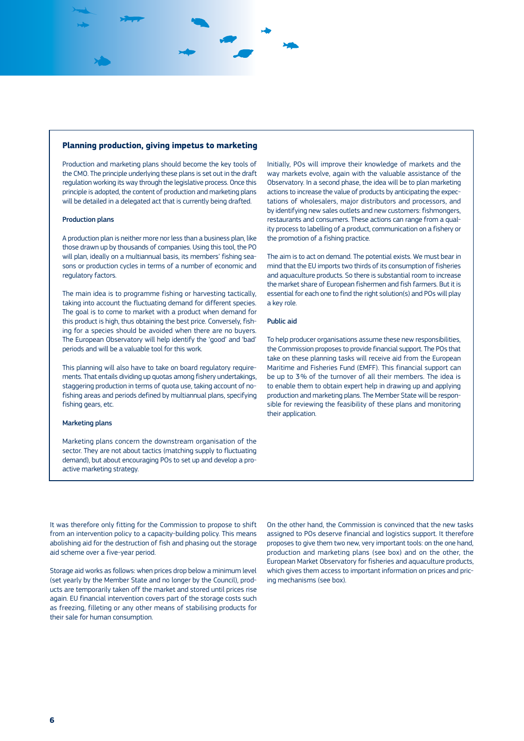#### **Planning production, giving impetus to marketing**

Production and marketing plans should become the key tools of the CMO. The principle underlying these plans is set out in the draft regulation working its way through the legislative process. Once this principle is adopted, the content of production and marketing plans will be detailed in a delegated act that is currently being drafted.

#### Production plans

A production plan is neither more nor less than a business plan, like those drawn up by thousands of companies. Using this tool, the PO will plan, ideally on a multiannual basis, its members' fishing seasons or production cycles in terms of a number of economic and regulatory factors.

The main idea is to programme fishing or harvesting tactically, taking into account the fluctuating demand for different species. The goal is to come to market with a product when demand for this product is high, thus obtaining the best price. Conversely, fishing for a species should be avoided when there are no buyers. The European Observatory will help identify the 'good' and 'bad' periods and will be a valuable tool for this work.

This planning will also have to take on board regulatory requirements. That entails dividing up quotas among fishery undertakings, staggering production in terms of quota use, taking account of nofishing areas and periods defined by multiannual plans, specifying fishing gears, etc.

#### Marketing plans

Marketing plans concern the downstream organisation of the sector. They are not about tactics (matching supply to fluctuating demand), but about encouraging POs to set up and develop a proactive marketing strategy.

Initially, POs will improve their knowledge of markets and the way markets evolve, again with the valuable assistance of the Observatory. In a second phase, the idea will be to plan marketing actions to increase the value of products by anticipating the expectations of wholesalers, major distributors and processors, and by identifying new sales outlets and new customers: fishmongers, restaurants and consumers. These actions can range from a quality process to labelling of a product, communication on a fishery or the promotion of a fishing practice.

The aim is to act on demand. The potential exists. We must bear in mind that the EU imports two thirds of its consumption of fisheries and aquaculture products. So there is substantial room to increase the market share of European fishermen and fish farmers. But it is essential for each one to find the right solution(s) and POs will play a key role.

#### Public aid

To help producer organisations assume these new responsibilities, the Commission proposes to provide financial support. The POs that take on these planning tasks will receive aid from the European Maritime and Fisheries Fund (EMFF). This financial support can be up to 3% of the turnover of all their members. The idea is to enable them to obtain expert help in drawing up and applying production and marketing plans. The Member State will be responsible for reviewing the feasibility of these plans and monitoring their application.

It was therefore only fitting for the Commission to propose to shift from an intervention policy to a capacity-building policy. This means abolishing aid for the destruction of fish and phasing out the storage aid scheme over a five-year period.

Storage aid works as follows: when prices drop below a minimum level (set yearly by the Member State and no longer by the Council), products are temporarily taken off the market and stored until prices rise again. EU financial intervention covers part of the storage costs such as freezing, filleting or any other means of stabilising products for their sale for human consumption.

On the other hand, the Commission is convinced that the new tasks assigned to POs deserve financial and logistics support. It therefore proposes to give them two new, very important tools: on the one hand, production and marketing plans (see box) and on the other, the European Market Observatory for fisheries and aquaculture products, which gives them access to important information on prices and pricing mechanisms (see box).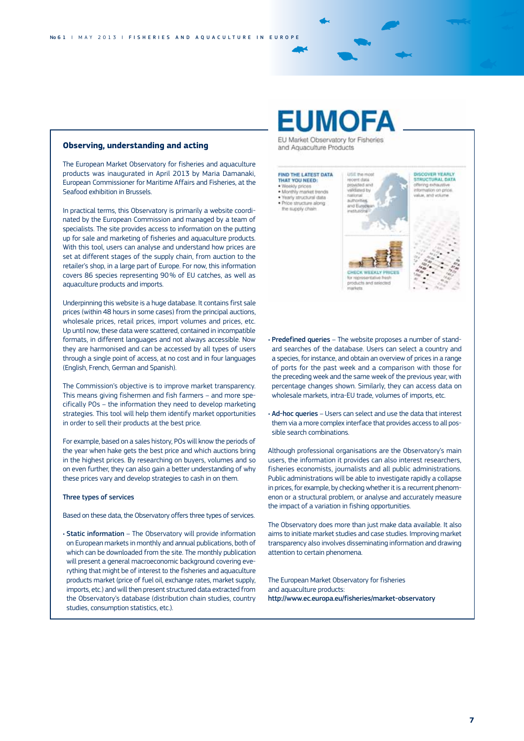#### **Observing, understanding and acting**

The European Market Observatory for fisheries and aquaculture products was inaugurated in April 2013 by Maria Damanaki, European Commissioner for Maritime Affairs and Fisheries, at the Seafood exhibition in Brussels.

In practical terms, this Observatory is primarily a website coordinated by the European Commission and managed by a team of specialists. The site provides access to information on the putting up for sale and marketing of fisheries and aquaculture products. With this tool, users can analyse and understand how prices are set at different stages of the supply chain, from auction to the retailer's shop, in a large part of Europe. For now, this information covers 86 species representing 90 % of EU catches, as well as aquaculture products and imports.

Underpinning this website is a huge database. It contains first sale prices (within 48 hours in some cases) from the principal auctions, wholesale prices, retail prices, import volumes and prices, etc. Up until now, these data were scattered, contained in incompatible formats, in different languages and not always accessible. Now they are harmonised and can be accessed by all types of users through a single point of access, at no cost and in four languages (English, French, German and Spanish).

The Commission's objective is to improve market transparency. This means giving fishermen and fish farmers – and more specifically POs – the information they need to develop marketing strategies. This tool will help them identify market opportunities in order to sell their products at the best price.

For example, based on a sales history, POs will know the periods of the year when hake gets the best price and which auctions bring in the highest prices. By researching on buyers, volumes and so on even further, they can also gain a better understanding of why these prices vary and develop strategies to cash in on them.

#### Three types of services

Based on these data, the Observatory offers three types of services.

• Static information – The Observatory will provide information on European markets in monthly and annual publications, both of which can be downloaded from the site. The monthly publication will present a general macroeconomic background covering everything that might be of interest to the fisheries and aquaculture products market (price of fuel oil, exchange rates, market supply, imports, etc.) and will then present structured data extracted from the Observatory's database (distribution chain studies, country studies, consumption statistics, etc.).

## FUMOFA

EU Market Observatory for Fisheries and Aquaculture Products



the supply chair



DISCOVER YEARLY<br>STRUCTURAL DATA<br>offering extructive<br>information on price. alue, and yol

ducts a

- Predefined queries The website proposes a number of standard searches of the database. Users can select a country and a species, for instance, and obtain an overview of prices in a range of ports for the past week and a comparison with those for the preceding week and the same week of the previous year, with percentage changes shown. Similarly, they can access data on wholesale markets, intra-EU trade, volumes of imports, etc.
- Ad-hoc queries Users can select and use the data that interest them via a more complex interface that provides access to all possible search combinations.

Although professional organisations are the Observatory's main users, the information it provides can also interest researchers, fisheries economists, journalists and all public administrations. Public administrations will be able to investigate rapidly a collapse in prices, for example, by checking whether it is a recurrent phenomenon or a structural problem, or analyse and accurately measure the impact of a variation in fishing opportunities.

The Observatory does more than just make data available. It also aims to initiate market studies and case studies. Improving market transparency also involves disseminating information and drawing attention to certain phenomena.

The European Market Observatory for fisheries and aquaculture products: <http://www.ec.europa.eu/fisheries/market-observatory>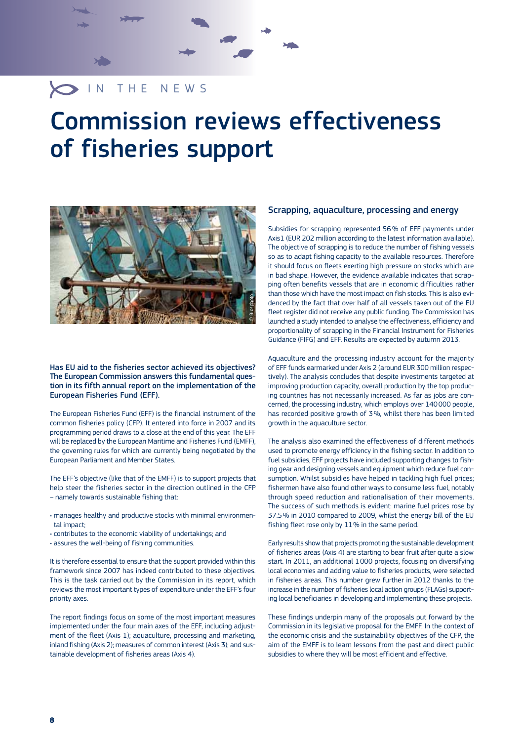### O IN THE NEWS

## Commission reviews effectiveness of fisheries support



#### Has EU aid to the fisheries sector achieved its objectives? The European Commission answers this fundamental question in its fifth annual report on the implementation of the European Fisheries Fund (EFF).

The European Fisheries Fund (EFF) is the financial instrument of the common fisheries policy (CFP). It entered into force in 2007 and its programming period draws to a close at the end of this year. The EFF will be replaced by the European Maritime and Fisheries Fund (EMFF), the governing rules for which are currently being negotiated by the European Parliament and Member States.

The EFF's objective (like that of the EMFF) is to support projects that help steer the fisheries sector in the direction outlined in the CFP – namely towards sustainable fishing that:

- manages healthy and productive stocks with minimal environmental impact;
- contributes to the economic viability of undertakings; and
- assures the well-being of fishing communities.

It is therefore essential to ensure that the support provided within this framework since 2007 has indeed contributed to these objectives. This is the task carried out by the Commission in its report, which reviews the most important types of expenditure under the EFF's four priority axes.

The report findings focus on some of the most important measures implemented under the four main axes of the EFF, including adjustment of the fleet (Axis 1); aquaculture, processing and marketing, inland fishing (Axis 2); measures of common interest (Axis 3); and sustainable development of fisheries areas (Axis 4).

#### Scrapping, aquaculture, processing and energy

Subsidies for scrapping represented 56 % of EFF payments under Axis1 (EUR 202 million according to the latest information available). The objective of scrapping is to reduce the number of fishing vessels so as to adapt fishing capacity to the available resources. Therefore it should focus on fleets exerting high pressure on stocks which are in bad shape. However, the evidence available indicates that scrapping often benefits vessels that are in economic difficulties rather than those which have the most impact on fish stocks. This is also evidenced by the fact that over half of all vessels taken out of the EU fleet register did not receive any public funding. The Commission has launched a study intended to analyse the effectiveness, efficiency and proportionality of scrapping in the Financial Instrument for Fisheries Guidance (FIFG) and EFF. Results are expected by autumn 2013.

Aquaculture and the processing industry account for the majority of EFF funds earmarked under Axis 2 (around EUR 300 million respectively). The analysis concludes that despite investments targeted at improving production capacity, overall production by the top producing countries has not necessarily increased. As far as jobs are concerned, the processing industry, which employs over 140 000 people, has recorded positive growth of 3%, whilst there has been limited growth in the aquaculture sector.

The analysis also examined the effectiveness of different methods used to promote energy efficiency in the fishing sector. In addition to fuel subsidies, EFF projects have included supporting changes to fishing gear and designing vessels and equipment which reduce fuel consumption. Whilst subsidies have helped in tackling high fuel prices; fishermen have also found other ways to consume less fuel, notably through speed reduction and rationalisation of their movements. The success of such methods is evident: marine fuel prices rose by 37.5 % in 2010 compared to 2009, whilst the energy bill of the EU fishing fleet rose only by 11 % in the same period.

Early results show that projects promoting the sustainable development of fisheries areas (Axis 4) are starting to bear fruit after quite a slow start. In 2011, an additional 1 000 projects, focusing on diversifying local economies and adding value to fisheries products, were selected in fisheries areas. This number grew further in 2012 thanks to the increase in the number of fisheries local action groups (FLAGs) supporting local beneficiaries in developing and implementing these projects.

These findings underpin many of the proposals put forward by the Commission in its legislative proposal for the EMFF. In the context of the economic crisis and the sustainability objectives of the CFP, the aim of the EMFF is to learn lessons from the past and direct public subsidies to where they will be most efficient and effective.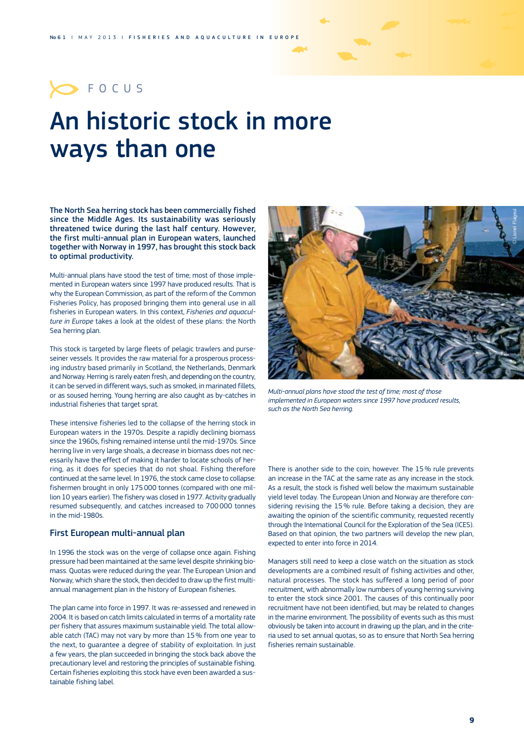### **OFOCUS**

## An historic stock in more ways than one

The North Sea herring stock has been commercially fished since the Middle Ages. Its sustainability was seriously threatened twice during the last half century. However, the first multi-annual plan in European waters, launched together with Norway in 1997, has brought this stock back to optimal productivity.

Multi-annual plans have stood the test of time; most of those implemented in European waters since 1997 have produced results. That is why the European Commission, as part of the reform of the Common Fisheries Policy, has proposed bringing them into general use in all fisheries in European waters. In this context, *Fisheries and aquaculture in Europe* takes a look at the oldest of these plans: the North Sea herring plan.

This stock is targeted by large fleets of pelagic trawlers and purseseiner vessels. It provides the raw material for a prosperous processing industry based primarily in Scotland, the Netherlands, Denmark and Norway. Herring is rarely eaten fresh, and depending on the country, it can be served in different ways, such as smoked, in marinated fillets, or as soused herring. Young herring are also caught as by-catches in industrial fisheries that target sprat.

These intensive fisheries led to the collapse of the herring stock in European waters in the 1970s. Despite a rapidly declining biomass since the 1960s, fishing remained intense until the mid-1970s. Since herring live in very large shoals, a decrease in biomass does not necessarily have the effect of making it harder to locate schools of herring, as it does for species that do not shoal. Fishing therefore continued at the same level. In 1976, the stock came close to collapse: fishermen brought in only 175 000 tonnes (compared with one million 10 years earlier). The fishery was closed in 1977. Activity gradually resumed subsequently, and catches increased to 700 000 tonnes in the mid-1980s.

#### First European multi-annual plan

In 1996 the stock was on the verge of collapse once again. Fishing pressure had been maintained at the same level despite shrinking biomass. Quotas were reduced during the year. The European Union and Norway, which share the stock, then decided to draw up the first multiannual management plan in the history of European fisheries.

The plan came into force in 1997. It was re-assessed and renewed in 2004. It is based on catch limits calculated in terms of a mortality rate per fishery that assures maximum sustainable yield. The total allowable catch (TAC) may not vary by more than 15 % from one year to the next, to guarantee a degree of stability of exploitation. In just a few years, the plan succeeded in bringing the stock back above the precautionary level and restoring the principles of sustainable fishing. Certain fisheries exploiting this stock have even been awarded a sustainable fishing label.



*Multi-annual plans have stood the test of time; most of those implemented in European waters since 1997 have produced results, such as the North Sea herring.*

There is another side to the coin, however. The 15 % rule prevents an increase in the TAC at the same rate as any increase in the stock. As a result, the stock is fished well below the maximum sustainable yield level today. The European Union and Norway are therefore considering revising the 15 % rule. Before taking a decision, they are awaiting the opinion of the scientific community, requested recently through the International Council for the Exploration of the Sea (ICES). Based on that opinion, the two partners will develop the new plan, expected to enter into force in 2014.

Managers still need to keep a close watch on the situation as stock developments are a combined result of fishing activities and other, natural processes. The stock has suffered a long period of poor recruitment, with abnormally low numbers of young herring surviving to enter the stock since 2001. The causes of this continually poor recruitment have not been identified, but may be related to changes in the marine environment. The possibility of events such as this must obviously be taken into account in drawing up the plan, and in the criteria used to set annual quotas, so as to ensure that North Sea herring fisheries remain sustainable.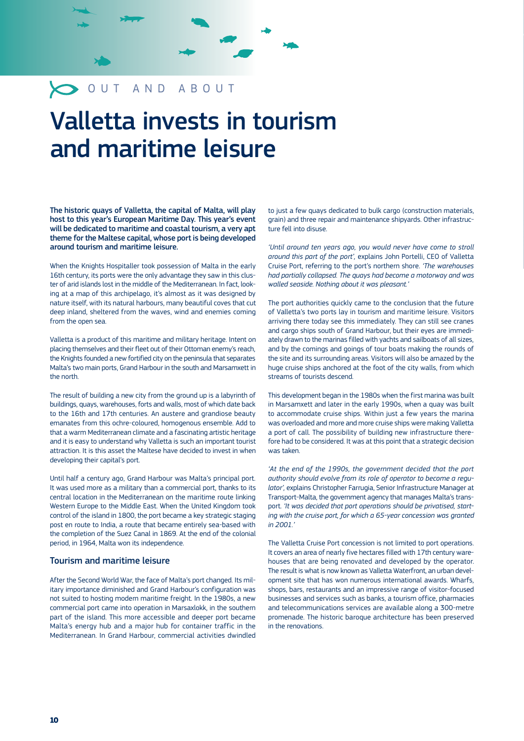### OUT AND ABOUT

## Valletta invests in tourism and maritime leisure

The historic quays of Valletta, the capital of Malta, will play host to this year's European Maritime Day. This year's event will be dedicated to maritime and coastal tourism, a very apt theme for the Maltese capital, whose port is being developed around tourism and maritime leisure.

When the Knights Hospitaller took possession of Malta in the early 16th century, its ports were the only advantage they saw in this cluster of arid islands lost in the middle of the Mediterranean. In fact, looking at a map of this archipelago, it's almost as it was designed by nature itself, with its natural harbours, many beautiful coves that cut deep inland, sheltered from the waves, wind and enemies coming from the open sea.

Valletta is a product of this maritime and military heritage. Intent on placing themselves and their fleet out of their Ottoman enemy's reach, the Knights founded a new fortified city on the peninsula that separates Malta's two main ports, Grand Harbour in the south and Marsamxett in the north.

The result of building a new city from the ground up is a labyrinth of buildings, quays, warehouses, forts and walls, most of which date back to the 16th and 17th centuries. An austere and grandiose beauty emanates from this ochre-coloured, homogenous ensemble. Add to that a warm Mediterranean climate and a fascinating artistic heritage and it is easy to understand why Valletta is such an important tourist attraction. It is this asset the Maltese have decided to invest in when developing their capital's port.

Until half a century ago, Grand Harbour was Malta's principal port. It was used more as a military than a commercial port, thanks to its central location in the Mediterranean on the maritime route linking Western Europe to the Middle East. When the United Kingdom took control of the island in 1800, the port became a key strategic staging post en route to India, a route that became entirely sea-based with the completion of the Suez Canal in 1869. At the end of the colonial period, in 1964, Malta won its independence.

#### Tourism and maritime leisure

After the Second World War, the face of Malta's port changed. Its military importance diminished and Grand Harbour's configuration was not suited to hosting modern maritime freight. In the 1980s, a new commercial port came into operation in Marsaxlokk, in the southern part of the island. This more accessible and deeper port became Malta's energy hub and a major hub for container traffic in the Mediterranean. In Grand Harbour, commercial activities dwindled

to just a few quays dedicated to bulk cargo (construction materials, grain) and three repair and maintenance shipyards. Other infrastructure fell into disuse.

*'Until around ten years ago, you would never have come to stroll around this part of the port',* explains John Portelli, CEO of Valletta Cruise Port, referring to the port's northern shore. *'The warehouses had partially collapsed. The quays had become a motorway and was walled seaside. Nothing about it was pleasant.'*

The port authorities quickly came to the conclusion that the future of Valletta's two ports lay in tourism and maritime leisure. Visitors arriving there today see this immediately. They can still see cranes and cargo ships south of Grand Harbour, but their eyes are immediately drawn to the marinas filled with yachts and sailboats of all sizes, and by the comings and goings of tour boats making the rounds of the site and its surrounding areas. Visitors will also be amazed by the huge cruise ships anchored at the foot of the city walls, from which streams of tourists descend.

This development began in the 1980s when the first marina was built in Marsamxett and later in the early 1990s, when a quay was built to accommodate cruise ships. Within just a few years the marina was overloaded and more and more cruise ships were making Valletta a port of call. The possibility of building new infrastructure therefore had to be considered. It was at this point that a strategic decision was taken.

*'At the end of the 1990s, the government decided that the port authority should evolve from its role of operator to become a regulator',* explains Christopher Farrugia, Senior Infrastructure Manager at Transport-Malta, the government agency that manages Malta's transport. *'It was decided that port operations should be privatised, starting with the cruise port, for which a 65-year concession was granted in 2001.'*

The Valletta Cruise Port concession is not limited to port operations. It covers an area of nearly five hectares filled with 17th century warehouses that are being renovated and developed by the operator. The result is what is now known as Valletta Waterfront, an urban development site that has won numerous international awards. Wharfs, shops, bars, restaurants and an impressive range of visitor-focused businesses and services such as banks, a tourism office, pharmacies and telecommunications services are available along a 300-metre promenade. The historic baroque architecture has been preserved in the renovations.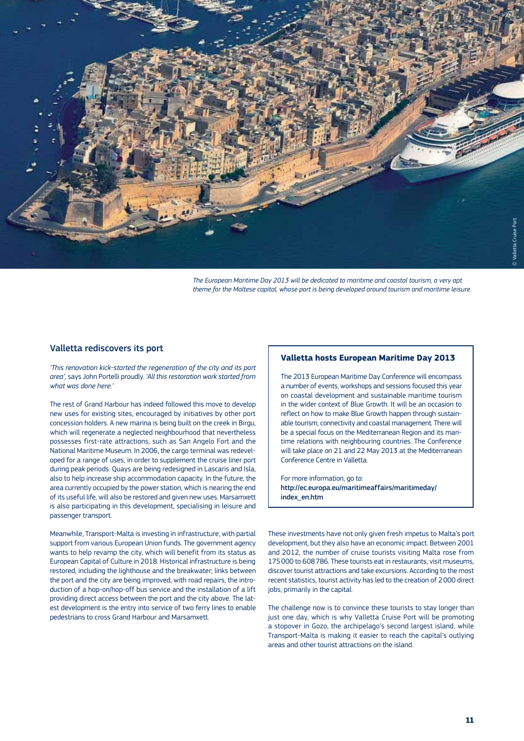

*The European Maritime Day 2013 will be dedicated to maritime and coastal tourism, a very apt theme for the Maltese capital, whose port is being developed around tourism and maritime leisure.*

#### Valletta rediscovers its port

*'This renovation kick-started the regeneration of the city and its port area',* says John Portelli proudly. *'All this restoration work started from what was done here.'*

The rest of Grand Harbour has indeed followed this move to develop new uses for existing sites, encouraged by initiatives by other port concession holders. A new marina is being built on the creek in Birgu, which will regenerate a neglected neighbourhood that nevertheless possesses first-rate attractions, such as San Angelo Fort and the National Maritime Museum. In 2006, the cargo terminal was redeveloped for a range of uses, in order to supplement the cruise liner port during peak periods. Quays are being redesigned in Lascaris and Isla, also to help increase ship accommodation capacity. In the future, the area currently occupied by the power station, which is nearing the end of its useful life, will also be restored and given new uses. Marsamxett is also participating in this development, specialising in leisure and passenger transport.

Meanwhile, Transport-Malta is investing in infrastructure, with partial support from various European Union funds. The government agency wants to help revamp the city, which will benefit from its status as European Capital of Culture in 2018. Historical infrastructure is being restored, including the lighthouse and the breakwater; links between the port and the city are being improved, with road repairs, the introduction of a hop-on/hop-off bus service and the installation of a lift providing direct access between the port and the city above. The latest development is the entry into service of two ferry lines to enable pedestrians to cross Grand Harbour and Marsamxett.

#### **Valletta hosts European Maritime Day 2013**

The 2013 European Maritime Day Conference will encompass a number of events, workshops and sessions focused this year on coastal development and sustainable maritime tourism in the wider context of Blue Growth. It will be an occasion to reflect on how to make Blue Growth happen through sustainable tourism, connectivity and coastal management. There will be a special focus on the Mediterranean Region and its maritime relations with neighbouring countries. The Conference will take place on 21 and 22 May 2013 at the Mediterranean Conference Centre in Valletta.

For more information, go to: <http://ec.europa.eu/maritimeaffairs/maritimeday/> index\_en.htm

These investments have not only given fresh impetus to Malta's port development, but they also have an economic impact. Between 2001 and 2012, the number of cruise tourists visiting Malta rose from 175 000 to 608 786. These tourists eat in restaurants, visit museums, discover tourist attractions and take excursions. According to the most recent statistics, tourist activity has led to the creation of 2 000 direct jobs, primarily in the capital.

The challenge now is to convince these tourists to stay longer than just one day, which is why Valletta Cruise Port will be promoting a stopover in Gozo, the archipelago's second largest island, while Transport-Malta is making it easier to reach the capital's outlying areas and other tourist attractions on the island.